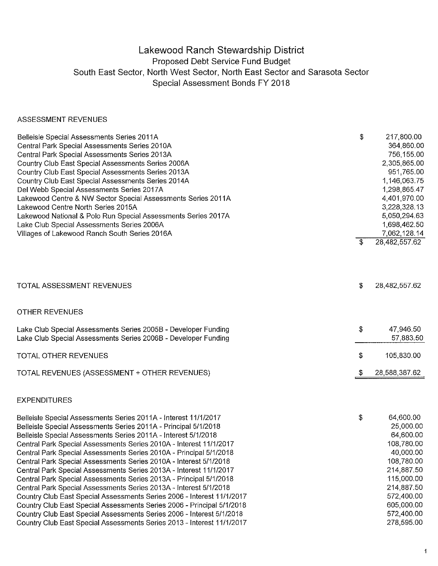## Lakewood Ranch Stewardship District Proposed Debt Service Fund Budget South East Sector, North West Sector, North East Sector and Sarasota Sector Special Assessment Bonds FY 2018

## ASSESSMENT REVENUES

| Belleisle Special Assessments Series 2011A<br>Central Park Special Assessments Series 2010A<br>Central Park Special Assessments Series 2013A<br>Country Club East Special Assessments Series 2006A<br>Country Club East Special Assessments Series 2013A<br>Country Club East Special Assessments Series 2014A<br>Del Webb Special Assessments Series 2017A<br>Lakewood Centre & NW Sector Special Assessments Series 2011A<br>Lakewood Centre North Series 2015A<br>Lakewood National & Polo Run Special Assessments Series 2017A<br>Lake Club Special Assessments Series 2006A<br>Villages of Lakewood Ranch South Series 2016A                                                                                                                                                          | \$                        | 217,800.00<br>364,860.00<br>756,155.00<br>2,305,865.00<br>951,765.00<br>1,146,063.75<br>1,298,865.47<br>4,401,970.00<br>3,228,328.13<br>5,050,294.63<br>1,698,462.50<br>7,062,128.14 |
|--------------------------------------------------------------------------------------------------------------------------------------------------------------------------------------------------------------------------------------------------------------------------------------------------------------------------------------------------------------------------------------------------------------------------------------------------------------------------------------------------------------------------------------------------------------------------------------------------------------------------------------------------------------------------------------------------------------------------------------------------------------------------------------------|---------------------------|--------------------------------------------------------------------------------------------------------------------------------------------------------------------------------------|
|                                                                                                                                                                                                                                                                                                                                                                                                                                                                                                                                                                                                                                                                                                                                                                                            | \$                        | 28,482,557.62                                                                                                                                                                        |
| TOTAL ASSESSMENT REVENUES                                                                                                                                                                                                                                                                                                                                                                                                                                                                                                                                                                                                                                                                                                                                                                  | \$                        | 28,482,557.62                                                                                                                                                                        |
| <b>OTHER REVENUES</b>                                                                                                                                                                                                                                                                                                                                                                                                                                                                                                                                                                                                                                                                                                                                                                      |                           |                                                                                                                                                                                      |
| Lake Club Special Assessments Series 2005B - Developer Funding<br>Lake Club Special Assessments Series 2006B - Developer Funding                                                                                                                                                                                                                                                                                                                                                                                                                                                                                                                                                                                                                                                           | \$                        | 47,946.50<br>57,883.50                                                                                                                                                               |
| TOTAL OTHER REVENUES                                                                                                                                                                                                                                                                                                                                                                                                                                                                                                                                                                                                                                                                                                                                                                       | \$                        | 105,830.00                                                                                                                                                                           |
| TOTAL REVENUES (ASSESSMENT + OTHER REVENUES)                                                                                                                                                                                                                                                                                                                                                                                                                                                                                                                                                                                                                                                                                                                                               | $\boldsymbol{\mathsf{S}}$ | 28,588,387.62                                                                                                                                                                        |
| <b>EXPENDITURES</b>                                                                                                                                                                                                                                                                                                                                                                                                                                                                                                                                                                                                                                                                                                                                                                        |                           |                                                                                                                                                                                      |
| Belleisle Special Assessments Series 2011A - Interest 11/1/2017<br>Belleisle Special Assessments Series 2011A - Principal 5/1/2018<br>Belleisle Special Assessments Series 2011A - Interest 5/1/2018<br>Central Park Special Assessments Series 2010A - Interest 11/1/2017<br>Central Park Special Assessments Series 2010A - Principal 5/1/2018<br>Central Park Special Assessments Series 2010A - Interest 5/1/2018<br>Central Park Special Assessments Series 2013A - Interest 11/1/2017<br>Central Park Special Assessments Series 2013A - Principal 5/1/2018<br>Central Park Special Assessments Series 2013A - Interest 5/1/2018<br>Country Club East Special Assessments Series 2006 - Interest 11/1/2017<br>Country Club East Special Assessments Series 2006 - Principal 5/1/2018 | \$                        | 64,600.00<br>25,000.00<br>64,600.00<br>108,780.00<br>40,000.00<br>108,780.00<br>214,887.50<br>115,000.00<br>214,887.50<br>572,400.00<br>605,000.00                                   |

Country Club East Special Assessments Series 2006 - Interest 5/112018 Country Club East Special Assessments Series 2013 - Interest 1111/2017

 $\ddagger$ 

572,400.00 278,595.00